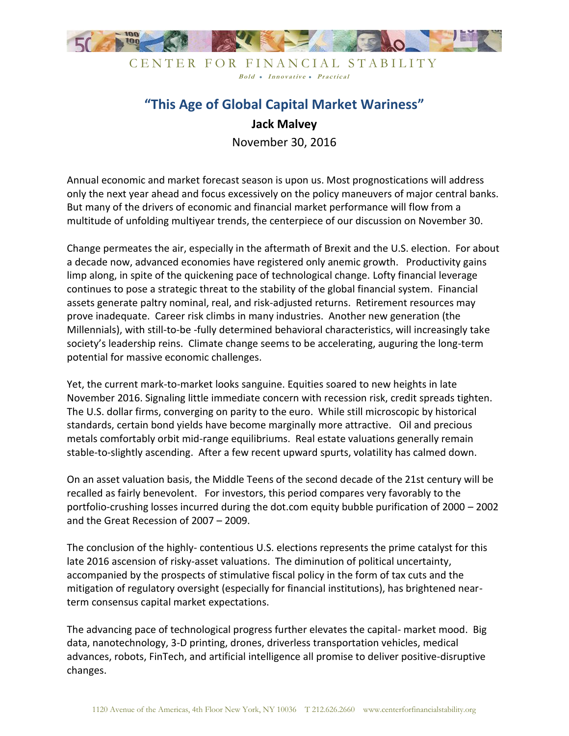

CENTER FOR FINANCIAL STABILITY Bold • Innovative • Practical

## **"This Age of Global Capital Market Wariness" Jack Malvey**

November 30, 2016

Annual economic and market forecast season is upon us. Most prognostications will address only the next year ahead and focus excessively on the policy maneuvers of major central banks. But many of the drivers of economic and financial market performance will flow from a multitude of unfolding multiyear trends, the centerpiece of our discussion on November 30.

Change permeates the air, especially in the aftermath of Brexit and the U.S. election. For about a decade now, advanced economies have registered only anemic growth. Productivity gains limp along, in spite of the quickening pace of technological change. Lofty financial leverage continues to pose a strategic threat to the stability of the global financial system. Financial assets generate paltry nominal, real, and risk-adjusted returns. Retirement resources may prove inadequate. Career risk climbs in many industries. Another new generation (the Millennials), with still-to-be -fully determined behavioral characteristics, will increasingly take society's leadership reins. Climate change seems to be accelerating, auguring the long-term potential for massive economic challenges.

Yet, the current mark-to-market looks sanguine. Equities soared to new heights in late November 2016. Signaling little immediate concern with recession risk, credit spreads tighten. The U.S. dollar firms, converging on parity to the euro. While still microscopic by historical standards, certain bond yields have become marginally more attractive. Oil and precious metals comfortably orbit mid-range equilibriums. Real estate valuations generally remain stable-to-slightly ascending. After a few recent upward spurts, volatility has calmed down.

On an asset valuation basis, the Middle Teens of the second decade of the 21st century will be recalled as fairly benevolent. For investors, this period compares very favorably to the portfolio-crushing losses incurred during the dot.com equity bubble purification of 2000 – 2002 and the Great Recession of 2007 – 2009.

The conclusion of the highly- contentious U.S. elections represents the prime catalyst for this late 2016 ascension of risky-asset valuations. The diminution of political uncertainty, accompanied by the prospects of stimulative fiscal policy in the form of tax cuts and the mitigation of regulatory oversight (especially for financial institutions), has brightened nearterm consensus capital market expectations.

The advancing pace of technological progress further elevates the capital- market mood. Big data, nanotechnology, 3-D printing, drones, driverless transportation vehicles, medical advances, robots, FinTech, and artificial intelligence all promise to deliver positive-disruptive changes.